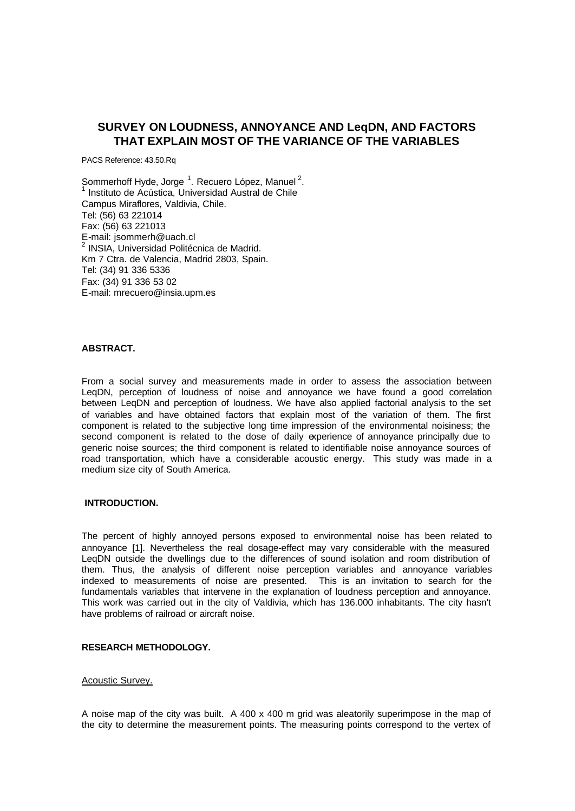# **SURVEY ON LOUDNESS, ANNOYANCE AND LeqDN, AND FACTORS THAT EXPLAIN MOST OF THE VARIANCE OF THE VARIABLES**

PACS Reference: 43.50.Rq

Sommerhoff Hyde, Jorge<sup>1</sup>. Recuero López, Manuel<sup>2</sup>. Instituto de Acústica, Universidad Austral de Chile Campus Miraflores, Valdivia, Chile. Tel: (56) 63 221014 Fax: (56) 63 221013 E-mail: jsommerh@uach.cl <sup>2</sup> INSIA, Universidad Politécnica de Madrid. Km 7 Ctra. de Valencia, Madrid 2803, Spain. Tel: (34) 91 336 5336 Fax: (34) 91 336 53 02 E-mail: mrecuero@insia.upm.es

## **ABSTRACT.**

From a social survey and measurements made in order to assess the association between LeqDN, perception of loudness of noise and annoyance we have found a good correlation between LeqDN and perception of loudness. We have also applied factorial analysis to the set of variables and have obtained factors that explain most of the variation of them. The first component is related to the subjective long time impression of the environmental noisiness; the second component is related to the dose of daily experience of annoyance principally due to generic noise sources; the third component is related to identifiable noise annoyance sources of road transportation, which have a considerable acoustic energy. This study was made in a medium size city of South America.

### **INTRODUCTION.**

The percent of highly annoyed persons exposed to environmental noise has been related to annoyance [1]. Nevertheless the real dosage-effect may vary considerable with the measured LeqDN outside the dwellings due to the differences of sound isolation and room distribution of them. Thus, the analysis of different noise perception variables and annoyance variables indexed to measurements of noise are presented. This is an invitation to search for the fundamentals variables that intervene in the explanation of loudness perception and annoyance. This work was carried out in the city of Valdivia, which has 136.000 inhabitants. The city hasn't have problems of railroad or aircraft noise.

# **RESEARCH METHODOLOGY.**

# Acoustic Survey.

A noise map of the city was built. A 400 x 400 m grid was aleatorily superimpose in the map of the city to determine the measurement points. The measuring points correspond to the vertex of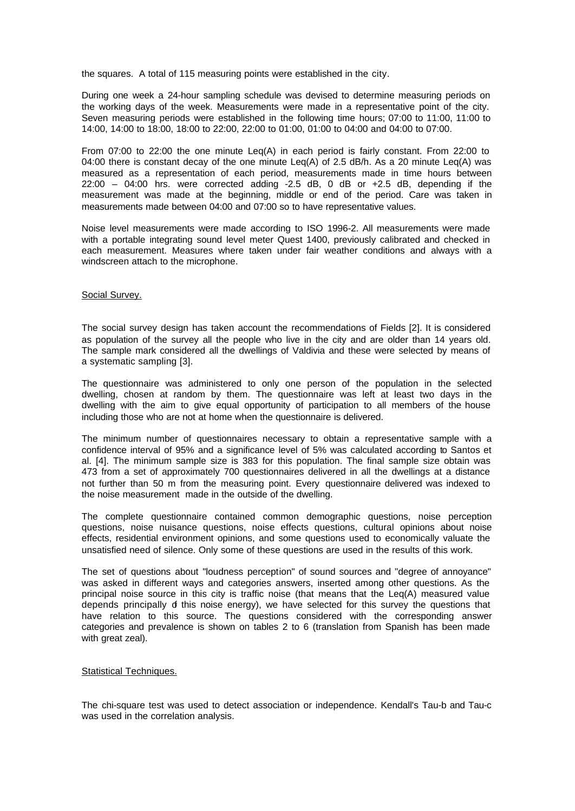the squares. A total of 115 measuring points were established in the city.

During one week a 24-hour sampling schedule was devised to determine measuring periods on the working days of the week. Measurements were made in a representative point of the city. Seven measuring periods were established in the following time hours; 07:00 to 11:00, 11:00 to 14:00, 14:00 to 18:00, 18:00 to 22:00, 22:00 to 01:00, 01:00 to 04:00 and 04:00 to 07:00.

From 07:00 to 22:00 the one minute Leq(A) in each period is fairly constant. From 22:00 to 04:00 there is constant decay of the one minute Leq(A) of 2.5 dB/h. As a 20 minute Leq(A) was measured as a representation of each period, measurements made in time hours between 22:00 – 04:00 hrs. were corrected adding -2.5 dB, 0 dB or +2.5 dB, depending if the measurement was made at the beginning, middle or end of the period. Care was taken in measurements made between 04:00 and 07:00 so to have representative values.

Noise level measurements were made according to ISO 1996-2. All measurements were made with a portable integrating sound level meter Quest 1400, previously calibrated and checked in each measurement. Measures where taken under fair weather conditions and always with a windscreen attach to the microphone.

### Social Survey.

The social survey design has taken account the recommendations of Fields [2]. It is considered as population of the survey all the people who live in the city and are older than 14 years old. The sample mark considered all the dwellings of Valdivia and these were selected by means of a systematic sampling [3].

The questionnaire was administered to only one person of the population in the selected dwelling, chosen at random by them. The questionnaire was left at least two days in the dwelling with the aim to give equal opportunity of participation to all members of the house including those who are not at home when the questionnaire is delivered.

The minimum number of questionnaires necessary to obtain a representative sample with a confidence interval of 95% and a significance level of 5% was calculated according to Santos et al. [4]. The minimum sample size is 383 for this population. The final sample size obtain was 473 from a set of approximately 700 questionnaires delivered in all the dwellings at a distance not further than 50 m from the measuring point. Every questionnaire delivered was indexed to the noise measurement made in the outside of the dwelling.

The complete questionnaire contained common demographic questions, noise perception questions, noise nuisance questions, noise effects questions, cultural opinions about noise effects, residential environment opinions, and some questions used to economically valuate the unsatisfied need of silence. Only some of these questions are used in the results of this work.

The set of questions about "loudness perception" of sound sources and "degree of annoyance" was asked in different ways and categories answers, inserted among other questions. As the principal noise source in this city is traffic noise (that means that the Leq(A) measured value depends principally of this noise energy), we have selected for this survey the questions that have relation to this source. The questions considered with the corresponding answer categories and prevalence is shown on tables 2 to 6 (translation from Spanish has been made with great zeal).

# Statistical Techniques.

The chi-square test was used to detect association or independence. Kendall's Tau-b and Tau-c was used in the correlation analysis.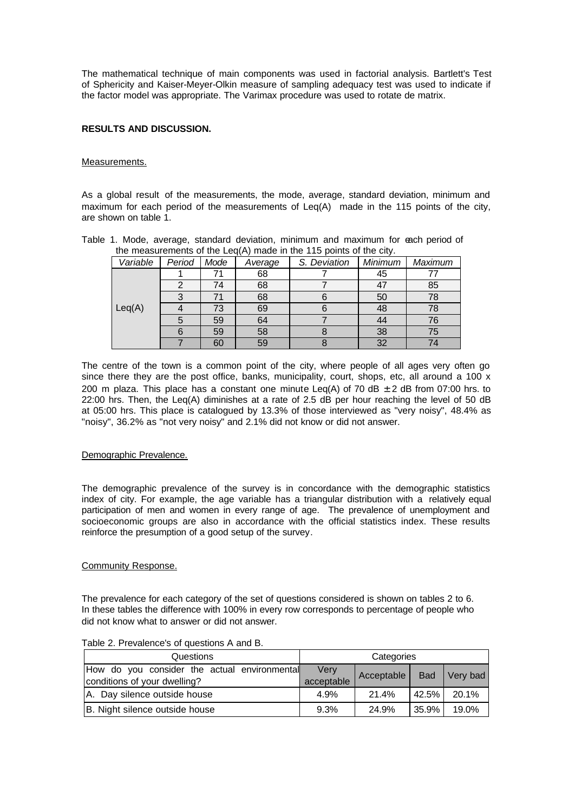The mathematical technique of main components was used in factorial analysis. Bartlett's Test of Sphericity and Kaiser-Meyer-Olkin measure of sampling adequacy test was used to indicate if the factor model was appropriate. The Varimax procedure was used to rotate de matrix.

# **RESULTS AND DISCUSSION.**

# Measurements.

As a global result of the measurements, the mode, average, standard deviation, minimum and maximum for each period of the measurements of Leq(A) made in the 115 points of the city, are shown on table 1.

|          | and moderation to or and Edg(i), made in and indipentite or and only. |      |         |              |         |         |
|----------|-----------------------------------------------------------------------|------|---------|--------------|---------|---------|
| Variable | Period                                                                | Mode | Average | S. Deviation | Minimum | Maximum |
|          |                                                                       |      | 68      |              | 45      |         |
|          |                                                                       | 74   | 68      |              | 47      | 85      |
|          |                                                                       |      | 68      |              | 50      | 78      |
| Leq(A)   |                                                                       | 73   | 69      |              | 48      | 78      |
|          |                                                                       | 59   | 64      |              | 44      | 76      |
|          |                                                                       | 59   | 58      |              | 38      | 75      |
|          |                                                                       | 60   | 59      |              | 32      |         |

Table 1. Mode, average, standard deviation, minimum and maximum for each period of the measurements of the Leg(A) made in the 115 points of the city.

The centre of the town is a common point of the city, where people of all ages very often go since there they are the post office, banks, municipality, court, shops, etc, all around a 100 x 200 m plaza. This place has a constant one minute Leg(A) of 70 dB  $\pm$  2 dB from 07:00 hrs. to 22:00 hrs. Then, the Leq(A) diminishes at a rate of 2.5 dB per hour reaching the level of 50 dB at 05:00 hrs. This place is catalogued by 13.3% of those interviewed as "very noisy", 48.4% as "noisy", 36.2% as "not very noisy" and 2.1% did not know or did not answer.

# Demographic Prevalence.

The demographic prevalence of the survey is in concordance with the demographic statistics index of city. For example, the age variable has a triangular distribution with a relatively equal participation of men and women in every range of age. The prevalence of unemployment and socioeconomic groups are also in accordance with the official statistics index. These results reinforce the presumption of a good setup of the survey.

### Community Response.

The prevalence for each category of the set of questions considered is shown on tables 2 to 6. In these tables the difference with 100% in every row corresponds to percentage of people who did not know what to answer or did not answer.

| Questions                                                                    | Categories         |            |            |          |  |
|------------------------------------------------------------------------------|--------------------|------------|------------|----------|--|
| How do you consider the actual environmental<br>conditions of your dwelling? | Verv<br>acceptable | Acceptable | <b>Bad</b> | Very bad |  |
| A. Day silence outside house                                                 | 4.9%               | 21.4%      | 42.5%      | 20.1%    |  |
| B. Night silence outside house                                               | 9.3%               | 24.9%      | $35.9\%$   | 19.0%    |  |

Table 2. Prevalence's of questions A and B.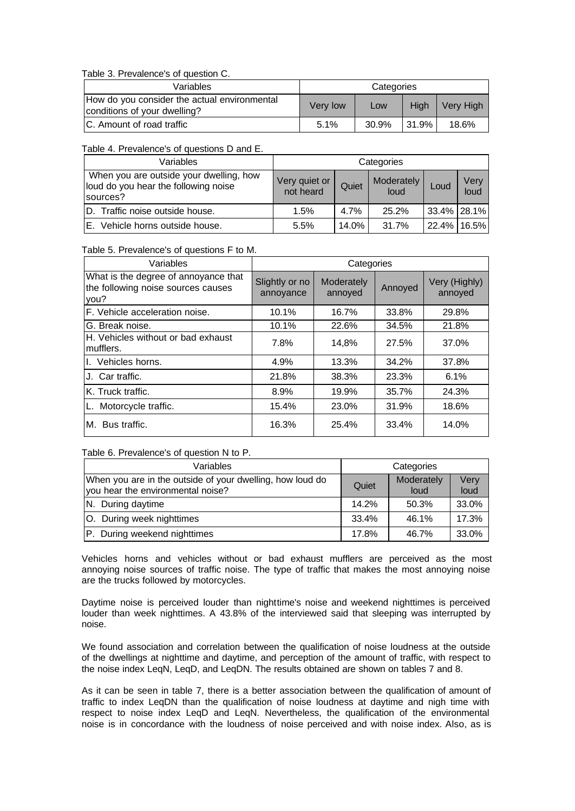Table 3. Prevalence's of question C.

| Variables                                                                    | Categories |       |              |           |  |
|------------------------------------------------------------------------------|------------|-------|--------------|-----------|--|
| How do you consider the actual environmental<br>conditions of your dwelling? | Very low   | Low   | Hiah         | Very High |  |
| IC. Amount of road traffic                                                   | 5.1%       | 30.9% | <b>31.9%</b> | 18.6%     |  |

Table 4. Prevalence's of questions D and E.

| Variables                                                                                   | Categories                 |         |                    |             |              |
|---------------------------------------------------------------------------------------------|----------------------------|---------|--------------------|-------------|--------------|
| When you are outside your dwelling, how<br>loud do you hear the following noise<br>sources? | Very quiet or<br>not heard | Quiet   | Moderately<br>loud | Loud        | Verv<br>loud |
| D. Traffic noise outside house.                                                             | 1.5%                       | $4.7\%$ | 25.2%              | 33.4% 28.1% |              |
| E. Vehicle horns outside house.                                                             | 5.5%                       | 14.0%   | 31.7%              |             | 22.4% 16.5%  |

Table 5. Prevalence's of questions F to M.

| Variables                                                                          | Categories                  |                       |         |                          |  |  |
|------------------------------------------------------------------------------------|-----------------------------|-----------------------|---------|--------------------------|--|--|
| What is the degree of annoyance that<br>the following noise sources causes<br>you? | Slightly or no<br>annoyance | Moderately<br>annoyed | Annoyed | Very (Highly)<br>annoyed |  |  |
| F. Vehicle acceleration noise.                                                     | 10.1%                       | 16.7%                 | 33.8%   | 29.8%                    |  |  |
| G. Break noise.                                                                    | 10.1%                       | 22.6%                 | 34.5%   | 21.8%                    |  |  |
| H. Vehicles without or bad exhaust<br>mufflers.                                    | 7.8%                        | 14,8%                 | 27.5%   | 37.0%                    |  |  |
| I. Vehicles horns.                                                                 | 4.9%                        | 13.3%                 | 34.2%   | 37.8%                    |  |  |
| J. Car traffic.                                                                    | 21.8%                       | 38.3%                 | 23.3%   | 6.1%                     |  |  |
| K. Truck traffic.                                                                  | 8.9%                        | 19.9%                 | 35.7%   | 24.3%                    |  |  |
| L. Motorcycle traffic.                                                             | 15.4%                       | 23.0%                 | 31.9%   | 18.6%                    |  |  |
| M. Bus traffic.                                                                    | 16.3%                       | 25.4%                 | 33.4%   | 14.0%                    |  |  |

Table 6. Prevalence's of question N to P.

| Variables                                                                                      | Categories |                    |              |  |
|------------------------------------------------------------------------------------------------|------------|--------------------|--------------|--|
| When you are in the outside of your dwelling, how loud do<br>you hear the environmental noise? | Quiet      | Moderately<br>loud | Very<br>loud |  |
| N. During daytime                                                                              | 14.2%      | 50.3%              | 33.0%        |  |
| O. During week nighttimes                                                                      | 33.4%      | 46.1%              | 17.3%        |  |
| P. During weekend nighttimes                                                                   | 17.8%      | 46.7%              | 33.0%        |  |

Vehicles horns and vehicles without or bad exhaust mufflers are perceived as the most annoying noise sources of traffic noise. The type of traffic that makes the most annoying noise are the trucks followed by motorcycles.

Daytime noise is perceived louder than nighttime's noise and weekend nighttimes is perceived louder than week nighttimes. A 43.8% of the interviewed said that sleeping was interrupted by noise.

We found association and correlation between the qualification of noise loudness at the outside of the dwellings at nighttime and daytime, and perception of the amount of traffic, with respect to the noise index LeqN, LeqD, and LeqDN. The results obtained are shown on tables 7 and 8.

As it can be seen in table 7, there is a better association between the qualification of amount of traffic to index LeqDN than the qualification of noise loudness at daytime and nigh time with respect to noise index LeqD and LeqN. Nevertheless, the qualification of the environmental noise is in concordance with the loudness of noise perceived and with noise index. Also, as is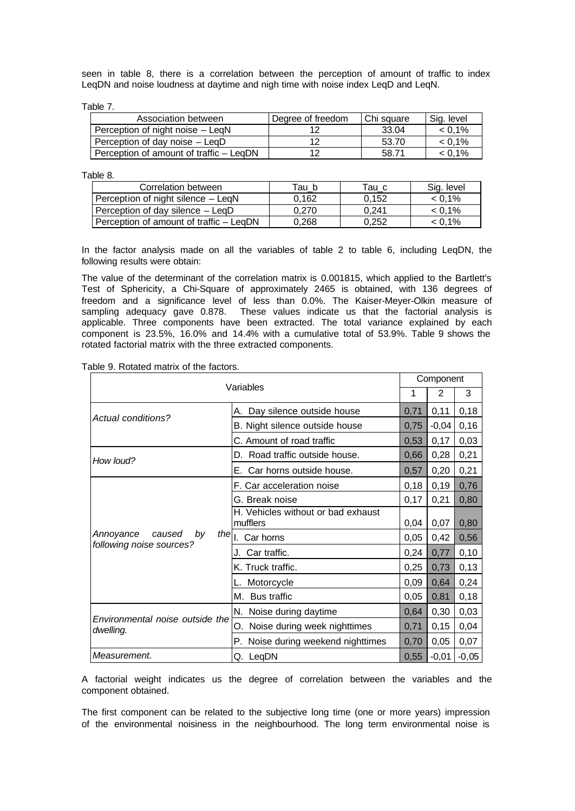seen in table 8, there is a correlation between the perception of amount of traffic to index LeqDN and noise loudness at daytime and nigh time with noise index LeqD and LeqN.

Table 7.

| Association between                     | Degree of freedom | Chi square | Sig. level |
|-----------------------------------------|-------------------|------------|------------|
| Perception of night noise – LegN        |                   | 33.04      | $< 0.1\%$  |
| Perception of day noise – LegD          |                   | 53.70      | $< 0.1\%$  |
| Perception of amount of traffic – LegDN |                   | 58.71      | $< 0.1\%$  |

Table 8.

| Correlation between                     | Tau b | Tau c | Sig. level |
|-----------------------------------------|-------|-------|------------|
| Perception of night silence – LeqN      | 0.162 | 0.152 | $< 0.1\%$  |
| Perception of day silence – LegD        | 0.270 | 0.241 | $< 0.1\%$  |
| Perception of amount of traffic – LegDN | 0.268 | 0.252 | $< 0.1\%$  |

In the factor analysis made on all the variables of table 2 to table 6, including LeqDN, the following results were obtain:

The value of the determinant of the correlation matrix is 0.001815, which applied to the Bartlett's Test of Sphericity, a Chi-Square of approximately 2465 is obtained, with 136 degrees of freedom and a significance level of less than 0.0%. The Kaiser-Meyer-Olkin measure of sampling adequacy gave 0.878. These values indicate us that the factorial analysis is applicable. Three components have been extracted. The total variance explained by each component is 23.5%, 16.0% and 14.4% with a cumulative total of 53.9%. Table 9 shows the rotated factorial matrix with the three extracted components.

| Table 9. Rotated matrix of the factors. |  |  |
|-----------------------------------------|--|--|
|                                         |  |  |

| Variables                                             |                                       | Component |         |         |
|-------------------------------------------------------|---------------------------------------|-----------|---------|---------|
|                                                       |                                       |           | 2       | 3       |
|                                                       | A. Day silence outside house          |           | 0,11    | 0,18    |
| <b>Actual conditions?</b>                             | B. Night silence outside house        | 0,75      | $-0,04$ | 0,16    |
|                                                       | C. Amount of road traffic             | 0,53      | 0,17    | 0,03    |
| How loud?                                             | D. Road traffic outside house.        | 0,66      | 0,28    | 0,21    |
|                                                       | E. Car horns outside house.           | 0,57      | 0,20    | 0,21    |
|                                                       | F. Car acceleration noise             | 0,18      | 0,19    | 0,76    |
|                                                       | G. Break noise<br>0,17                |           | 0,21    | 0,80    |
|                                                       | H. Vehicles without or bad exhaust    |           |         |         |
|                                                       | mufflers                              | 0,04      | 0,07    | 0,80    |
| Annoyance<br>caused<br>by<br>following noise sources? | the     Car horns                     | 0,05      | 0,42    | 0,56    |
|                                                       | J. Car traffic.                       | 0,24      | 0,77    | 0,10    |
|                                                       | K. Truck traffic.                     | 0,25      | 0,73    | 0,13    |
|                                                       | Motorcycle                            |           | 0,64    | 0,24    |
|                                                       | <b>Bus traffic</b><br>М.              | 0,05      | 0,81    | 0,18    |
|                                                       | N. Noise during daytime               | 0,64      | 0,30    | 0,03    |
| Environmental noise outside the<br>dwelling.          | Noise during week nighttimes<br>О.    | 0,71      | 0,15    | 0,04    |
|                                                       | Noise during weekend nighttimes<br>Р. | 0,70      | 0,05    | 0,07    |
| Measurement.                                          | Q. LeqDN                              | 0,55      | $-0,01$ | $-0,05$ |

A factorial weight indicates us the degree of correlation between the variables and the component obtained.

The first component can be related to the subjective long time (one or more years) impression of the environmental noisiness in the neighbourhood. The long term environmental noise is